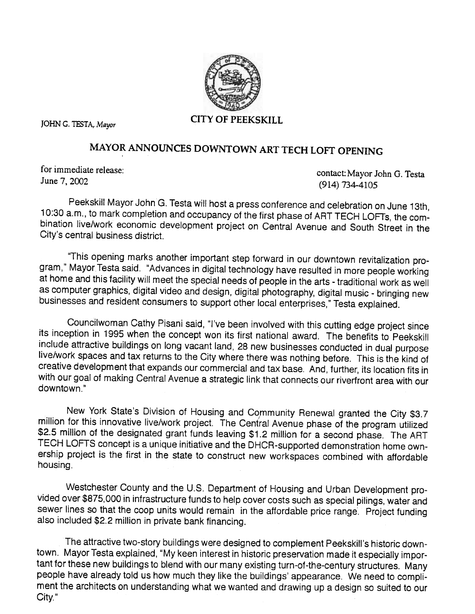

## MAYOR ANNOUNCES DOWNTOWN ART TECH LOFT OPENING

for immediate release: June 7,2002

contact: Mayor John G. Testa (914) 734-4105

Peekskill Mayor John G. Testa will host a press conference and celebration on June 13th, 10:30 a.m., to mark completion and occupancy of the first phase of ART TECH LOFTs, the combination live/work economic development project on Central Avenue and South Street in the City's central business district.

"This opening marks another important step forward in our downtown revitalization program," Mayor Testa said. "Advances in digital technology have resulted in more people working at home and this facility will meet the special needs of people in the arts - traditional work as well as computer graphics, digital video and design, digital photography, digital music - bringing new businesses and resident consumers to support other local enterprises," Testa explained.

Councilwoman Cathy Pisani said, "I've been involved with this cutting edge project since its inception in 1995 when the concept won its first national award. The benefits to Peekskill include attractive buildings on long vacant land, 28 new businesses conducted in dual purpose live/work spaces and tax returns to the City where there was nothing before. This is the kind of creative development that expands our commercial and tax base. And, further, its location fits in with our goal of making Central Avenue a strategic link that connects our riverfront area with our downtown."

New York State's Division of Housing and Community Renewal granted the City \$3.7 million for this innovative live/work project. The Central Avenue phase of the program utilized \$2.5 million of the designated grant funds leaving \$1.2 million for a second phase. The ART TECH LOFTS concept is a unique initiative and the DHCR-supported demonstration home ownership project is the first in the state to construct new workspaces combined with affordable housing.

Westchester County and the U.S. Department of Housing and Urban Development provided over \$875,000 in infrastructure funds to help cover costs such as special pilings, water and sewer lines so that the coop units would remain in the affordable price range. Project funding also included \$2.2 million in private bank financing.

The attractive two-story buildings were designed to complement Peekskill's historic downtown. Mayor Testa explained, "My keen interest in historic preservation made it especially important for these new buildings to blend with our many existing turn-of-the-century structures. Many people have already told us how much they like the buildings' appearance. We need to compliment the architects on understanding what we wanted and drawing up a design so suited to our City,"